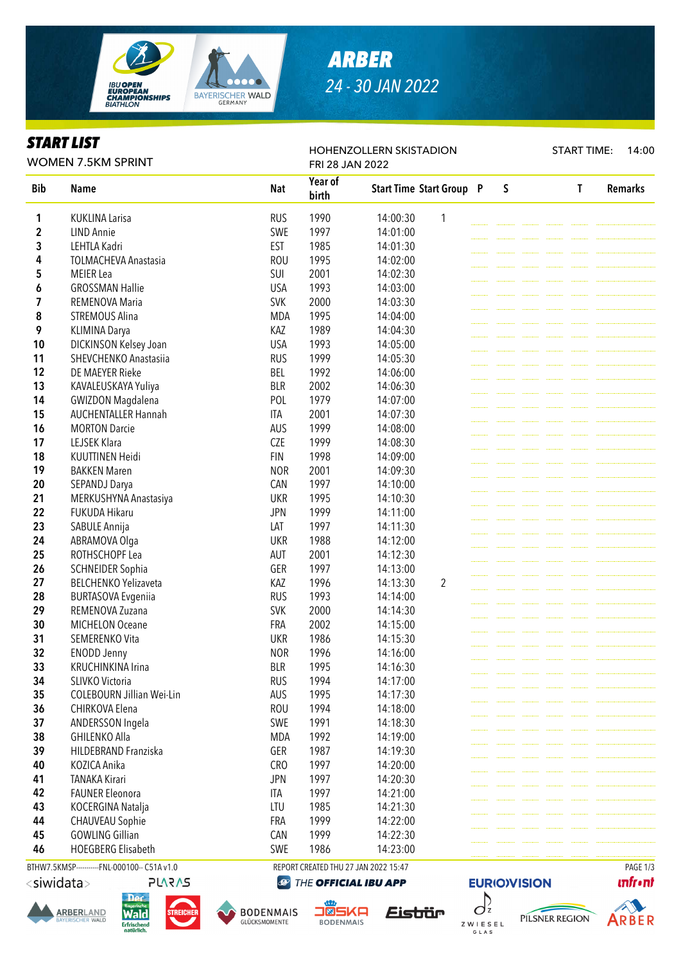

# *ARBER 24 - 30 JAN 2022*

HOHENZOLLERN SKISTADION

### *START LIST*

START TIME: 14:00

|            | <b>WOMEN 7.5KM SPRINT</b>   | FRI 28 JAN 2022 |                  |          |                                 |  |   |  |  |   |                |
|------------|-----------------------------|-----------------|------------------|----------|---------------------------------|--|---|--|--|---|----------------|
| <b>Bib</b> | <b>Name</b>                 | <b>Nat</b>      | Year of<br>birth |          | <b>Start Time Start Group P</b> |  | S |  |  | T | <b>Remarks</b> |
| 1          | <b>KUKLINA Larisa</b>       | <b>RUS</b>      | 1990             | 14:00:30 | 1                               |  |   |  |  |   |                |
| 2          | <b>LIND Annie</b>           | SWE             | 1997             | 14:01:00 |                                 |  |   |  |  |   |                |
| 3          | LEHTLA Kadri                | <b>EST</b>      | 1985             | 14:01:30 |                                 |  |   |  |  |   |                |
| 4          | <b>TOLMACHEVA Anastasia</b> | <b>ROU</b>      | 1995             | 14:02:00 |                                 |  |   |  |  |   |                |
| 5          | <b>MEIER</b> Lea            | SUI             | 2001             | 14:02:30 |                                 |  |   |  |  |   |                |
| 6          | <b>GROSSMAN Hallie</b>      | <b>USA</b>      | 1993             | 14:03:00 |                                 |  |   |  |  |   |                |
| 7          | REMENOVA Maria              | <b>SVK</b>      | 2000             | 14:03:30 |                                 |  |   |  |  |   |                |
| 8          | <b>STREMOUS Alina</b>       | <b>MDA</b>      | 1995             | 14:04:00 |                                 |  |   |  |  |   |                |
| 9          | KLIMINA Darya               | KAZ             | 1989             | 14:04:30 |                                 |  |   |  |  |   |                |
| 10         | DICKINSON Kelsey Joan       | <b>USA</b>      | 1993             | 14:05:00 |                                 |  |   |  |  |   |                |
| 11         | SHEVCHENKO Anastasiia       | <b>RUS</b>      | 1999             | 14:05:30 |                                 |  |   |  |  |   |                |
| 12         | DE MAEYER Rieke             | <b>BEL</b>      | 1992             | 14:06:00 |                                 |  |   |  |  |   |                |
| 13         | KAVALEUSKAYA Yuliya         | <b>BLR</b>      | 2002             | 14:06:30 |                                 |  |   |  |  |   |                |
| 14         | <b>GWIZDON Magdalena</b>    | POL             | 1979             | 14:07:00 |                                 |  |   |  |  |   |                |
| 15         | <b>AUCHENTALLER Hannah</b>  | <b>ITA</b>      | 2001             | 14:07:30 |                                 |  |   |  |  |   |                |
| 16         | <b>MORTON Darcie</b>        | AUS             | 1999             | 14:08:00 |                                 |  |   |  |  |   |                |
| 17         | LEJSEK Klara                | <b>CZE</b>      | 1999             | 14:08:30 |                                 |  |   |  |  |   |                |
| 18         | <b>KUUTTINEN Heidi</b>      | <b>FIN</b>      | 1998             | 14:09:00 |                                 |  |   |  |  |   |                |
| 19         | <b>BAKKEN Maren</b>         | <b>NOR</b>      | 2001             | 14:09:30 |                                 |  |   |  |  |   |                |
| 20         | SEPANDJ Darya               | CAN             | 1997             | 14:10:00 |                                 |  |   |  |  |   |                |
| 21         | MERKUSHYNA Anastasiya       | <b>UKR</b>      | 1995             | 14:10:30 |                                 |  |   |  |  |   |                |
| 22         | FUKUDA Hikaru               | <b>JPN</b>      | 1999             | 14:11:00 |                                 |  |   |  |  |   |                |
| 23         | SABULE Annija               | LAT             | 1997             | 14:11:30 |                                 |  |   |  |  |   |                |
| 24         | ABRAMOVA Olga               | <b>UKR</b>      | 1988             | 14:12:00 |                                 |  |   |  |  |   |                |
| 25         | ROTHSCHOPF Lea              | AUT             | 2001             | 14:12:30 |                                 |  |   |  |  |   |                |
| 26         | <b>SCHNEIDER Sophia</b>     | GER             | 1997             | 14:13:00 |                                 |  |   |  |  |   |                |
| 27         | <b>BELCHENKO Yelizaveta</b> | KAZ             | 1996             | 14:13:30 | $\overline{2}$                  |  |   |  |  |   |                |
| 28         | <b>BURTASOVA Evgeniia</b>   | <b>RUS</b>      | 1993             | 14:14:00 |                                 |  |   |  |  |   |                |
| 29         | REMENOVA Zuzana             | <b>SVK</b>      | 2000             | 14:14:30 |                                 |  |   |  |  |   |                |
| 30         | <b>MICHELON Oceane</b>      | <b>FRA</b>      | 2002             | 14:15:00 |                                 |  |   |  |  |   |                |
| 31         | SEMERENKO Vita              | <b>UKR</b>      | 1986             | 14:15:30 |                                 |  |   |  |  |   |                |
| 32         | <b>ENODD Jenny</b>          | <b>NOR</b>      | 1996             | 14:16:00 |                                 |  |   |  |  |   |                |
| 33         | <b>KRUCHINKINA Irina</b>    | <b>BLR</b>      | 1995             | 14:16:30 |                                 |  |   |  |  |   |                |
| 34         | SLIVKO Victoria             | <b>RUS</b>      | 1994             | 14:17:00 |                                 |  |   |  |  |   |                |
| 35         | COLEBOURN Jillian Wei-Lin   | AUS             | 1995             | 14:17:30 |                                 |  |   |  |  |   |                |
| 36         | CHIRKOVA Elena              | <b>ROU</b>      | 1994             | 14:18:00 |                                 |  |   |  |  |   |                |
| 37         | ANDERSSON Ingela            | SWE             | 1991             | 14:18:30 |                                 |  |   |  |  |   |                |
| 38         | <b>GHILENKO Alla</b>        | <b>MDA</b>      | 1992             | 14:19:00 |                                 |  |   |  |  |   |                |
| 39         | HILDEBRAND Franziska        | GER             | 1987             | 14:19:30 |                                 |  |   |  |  |   |                |
| 40         | KOZICA Anika                | CRO             | 1997             | 14:20:00 |                                 |  |   |  |  |   |                |
| 41         | <b>TANAKA Kirari</b>        | <b>JPN</b>      | 1997             | 14:20:30 |                                 |  |   |  |  |   |                |
| 42         | <b>FAUNER Eleonora</b>      | ITA             | 1997             | 14:21:00 |                                 |  |   |  |  |   |                |
| 43         | KOCERGINA Natalja           | LTU             | 1985             | 14:21:30 |                                 |  |   |  |  |   |                |
| 44         | <b>CHAUVEAU Sophie</b>      | FRA             | 1999             | 14:22:00 |                                 |  |   |  |  |   |                |
| 45         | <b>GOWLING Gillian</b>      | CAN             | 1999             | 14:22:30 |                                 |  |   |  |  |   |                |
| 46         | HOEGBERG Elisabeth          | SWE             | 1986             | 14:23:00 |                                 |  |   |  |  |   |                |

BTHW7.5KMSP-----------FNL-000100-- C51A v1.0 REPORT CREATED THU 27 JAN 2022 15:47 PAGE 1/3

<siwidata>











ZWIESEL

G L A S

Eistrür



PILSNER REGION

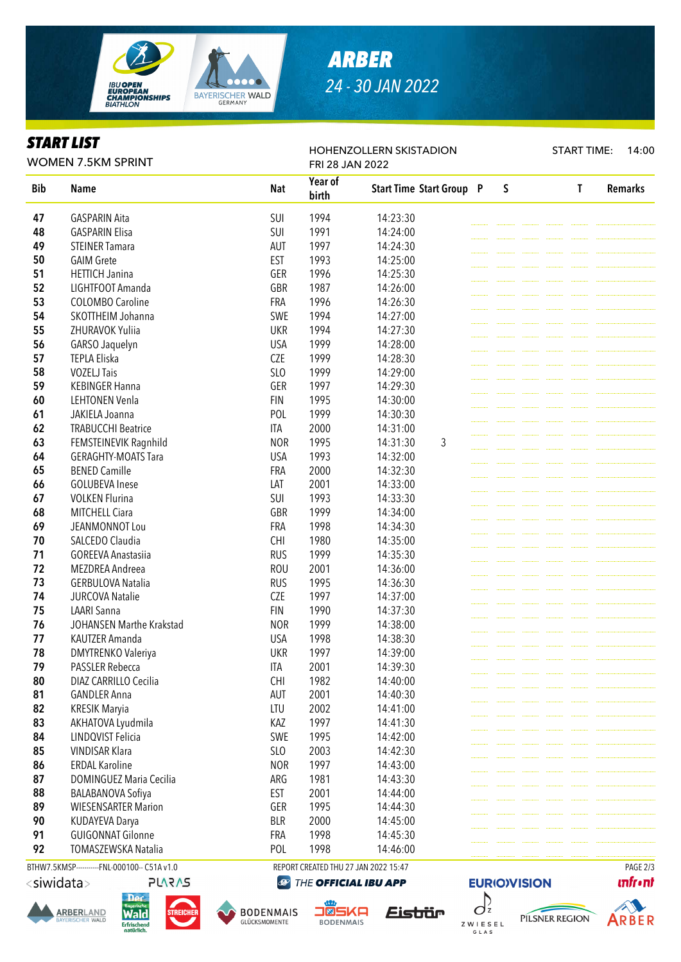

## *ARBER 24 - 30 JAN 2022*

HOHENZOLLERN SKISTADION

#### *START LIST*

WOMEN 7.5KM SPRINT

START TIME: 14:00

|            | <b>WOMEN 7.5KM SPRINT</b>                  | FRI 28 JAN 2022 |                  |                                 |  |         |  |  |              |                |
|------------|--------------------------------------------|-----------------|------------------|---------------------------------|--|---------|--|--|--------------|----------------|
| <b>Bib</b> | Name                                       | <b>Nat</b>      | Year of<br>birth | <b>Start Time Start Group P</b> |  | $\sf S$ |  |  | $\mathsf{T}$ | <b>Remarks</b> |
| 47         | <b>GASPARIN Aita</b>                       | SUI             | 1994             | 14:23:30                        |  |         |  |  |              |                |
| 48         | <b>GASPARIN Elisa</b>                      | SUI             | 1991             | 14:24:00                        |  |         |  |  |              |                |
| 49         | <b>STEINER Tamara</b>                      | AUT             | 1997             | 14:24:30                        |  |         |  |  |              |                |
| 50         | <b>GAIM Grete</b>                          | <b>EST</b>      | 1993             | 14:25:00                        |  |         |  |  |              |                |
| 51         | <b>HETTICH Janina</b>                      | GER             | 1996             | 14:25:30                        |  |         |  |  |              |                |
| 52         | LIGHTFOOT Amanda                           | GBR             | 1987             | 14:26:00                        |  |         |  |  |              |                |
| 53         | <b>COLOMBO Caroline</b>                    | <b>FRA</b>      | 1996             | 14:26:30                        |  |         |  |  |              |                |
| 54         | SKOTTHEIM Johanna                          | SWE             | 1994             | 14:27:00                        |  |         |  |  |              |                |
| 55         | ZHURAVOK Yuliia                            | <b>UKR</b>      | 1994             | 14:27:30                        |  |         |  |  |              |                |
| 56         | GARSO Jaquelyn                             | <b>USA</b>      | 1999             | 14:28:00                        |  |         |  |  |              |                |
| 57         | <b>TEPLA Eliska</b>                        | <b>CZE</b>      | 1999             | 14:28:30                        |  |         |  |  |              |                |
| 58         | <b>VOZELJ Tais</b>                         | SLO             | 1999             | 14:29:00                        |  |         |  |  |              |                |
| 59         | <b>KEBINGER Hanna</b>                      | GER             | 1997             | 14:29:30                        |  |         |  |  |              |                |
| 60         | <b>LEHTONEN Venla</b>                      | <b>FIN</b>      | 1995             | 14:30:00                        |  |         |  |  |              |                |
| 61         | JAKIELA Joanna                             | POL             | 1999             | 14:30:30                        |  |         |  |  |              |                |
| 62         | <b>TRABUCCHI Beatrice</b>                  | ITA             | 2000             | 14:31:00                        |  |         |  |  |              |                |
| 63         | FEMSTEINEVIK Ragnhild                      | <b>NOR</b>      | 1995             | 3<br>14:31:30                   |  |         |  |  |              |                |
| 64         | <b>GERAGHTY-MOATS Tara</b>                 | <b>USA</b>      | 1993             | 14:32:00                        |  |         |  |  |              |                |
| 65         | <b>BENED Camille</b>                       | <b>FRA</b>      | 2000             | 14:32:30                        |  |         |  |  |              |                |
| 66         | <b>GOLUBEVA Inese</b>                      | LAT             | 2001             | 14:33:00                        |  |         |  |  |              |                |
| 67         | <b>VOLKEN Flurina</b>                      | SUI             | 1993             | 14:33:30                        |  |         |  |  |              |                |
| 68         | MITCHELL Ciara                             | GBR             | 1999             | 14:34:00                        |  |         |  |  |              |                |
| 69         | JEANMONNOT Lou                             | <b>FRA</b>      | 1998             | 14:34:30                        |  |         |  |  |              |                |
| 70         | SALCEDO Claudia                            | <b>CHI</b>      | 1980             | 14:35:00                        |  |         |  |  |              |                |
| 71         | <b>GOREEVA Anastasiia</b>                  | <b>RUS</b>      | 1999             | 14:35:30                        |  |         |  |  |              |                |
| 72         | MEZDREA Andreea                            | <b>ROU</b>      | 2001             | 14:36:00                        |  |         |  |  |              |                |
| 73         | <b>GERBULOVA Natalia</b>                   | <b>RUS</b>      | 1995             | 14:36:30                        |  |         |  |  |              |                |
| 74         | <b>JURCOVA Natalie</b>                     | <b>CZE</b>      | 1997             | 14:37:00                        |  |         |  |  |              |                |
| 75         | <b>LAARI Sanna</b>                         | <b>FIN</b>      | 1990             | 14:37:30                        |  |         |  |  |              |                |
| 76         | JOHANSEN Marthe Krakstad                   | <b>NOR</b>      | 1999             | 14:38:00                        |  |         |  |  |              |                |
| 77         | KAUTZER Amanda                             | <b>USA</b>      | 1998             | 14:38:30                        |  |         |  |  |              |                |
| 78         | <b>DMYTRENKO Valeriya</b>                  | <b>UKR</b>      | 1997             | 14:39:00                        |  |         |  |  |              |                |
| 79         | <b>PASSLER Rebecca</b>                     | ITA             | 2001             | 14:39:30                        |  |         |  |  |              |                |
| 80         | DIAZ CARRILLO Cecilia                      | <b>CHI</b>      | 1982             | 14:40:00                        |  |         |  |  |              |                |
| 81         | <b>GANDLER Anna</b>                        | AUT             | 2001             | 14:40:30                        |  |         |  |  |              |                |
| 82         | <b>KRESIK Maryia</b>                       | LTU             | 2002             | 14:41:00                        |  |         |  |  |              |                |
| 83         | AKHATOVA Lyudmila                          | KAZ             | 1997             | 14:41:30                        |  |         |  |  |              |                |
| 84         | LINDQVIST Felicia                          | SWE             | 1995             | 14:42:00                        |  |         |  |  |              |                |
| 85         | <b>VINDISAR Klara</b>                      | SLO             | 2003             | 14:42:30                        |  |         |  |  |              |                |
| 86         | <b>ERDAL Karoline</b>                      | <b>NOR</b>      | 1997             | 14:43:00                        |  |         |  |  |              |                |
| 87         | <b>DOMINGUEZ Maria Cecilia</b>             | ARG             | 1981             | 14:43:30                        |  |         |  |  |              |                |
| 88         | BALABANOVA Sofiya                          | EST             | 2001             | 14:44:00                        |  |         |  |  |              |                |
| 89         | <b>WIESENSARTER Marion</b>                 | GER             | 1995             | 14:44:30                        |  |         |  |  |              |                |
| 90         |                                            | <b>BLR</b>      | 2000             | 14:45:00                        |  |         |  |  |              |                |
| 91         | KUDAYEVA Darya<br><b>GUIGONNAT Gilonne</b> | FRA             | 1998             | 14:45:30                        |  |         |  |  |              |                |
| 92         | TOMASZEWSKA Natalia                        | POL             | 1998             | 14:46:00                        |  |         |  |  |              |                |
|            |                                            |                 |                  |                                 |  |         |  |  |              |                |

BTHW7.5KMSP-----------FNL-000100-- C51A v1.0 REPORT CREATED THU 27 JAN 2022 15:47 PAGE 2/3

<siwidata>





**PLARAS** 







ZWIESEL

G L A S